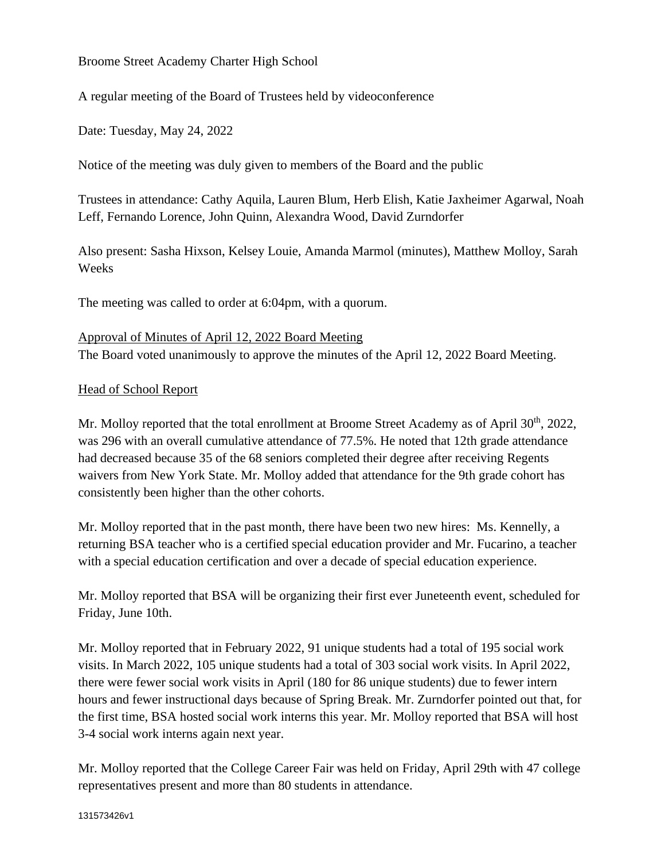## Broome Street Academy Charter High School

A regular meeting of the Board of Trustees held by videoconference

Date: Tuesday, May 24, 2022

Notice of the meeting was duly given to members of the Board and the public

Trustees in attendance: Cathy Aquila, Lauren Blum, Herb Elish, Katie Jaxheimer Agarwal, Noah Leff, Fernando Lorence, John Quinn, Alexandra Wood, David Zurndorfer

Also present: Sasha Hixson, Kelsey Louie, Amanda Marmol (minutes), Matthew Molloy, Sarah Weeks

The meeting was called to order at 6:04pm, with a quorum.

#### Approval of Minutes of April 12, 2022 Board Meeting

The Board voted unanimously to approve the minutes of the April 12, 2022 Board Meeting.

#### Head of School Report

Mr. Molloy reported that the total enrollment at Broome Street Academy as of April 30<sup>th</sup>, 2022, was 296 with an overall cumulative attendance of 77.5%. He noted that 12th grade attendance had decreased because 35 of the 68 seniors completed their degree after receiving Regents waivers from New York State. Mr. Molloy added that attendance for the 9th grade cohort has consistently been higher than the other cohorts.

Mr. Molloy reported that in the past month, there have been two new hires: Ms. Kennelly, a returning BSA teacher who is a certified special education provider and Mr. Fucarino, a teacher with a special education certification and over a decade of special education experience.

Mr. Molloy reported that BSA will be organizing their first ever Juneteenth event, scheduled for Friday, June 10th.

Mr. Molloy reported that in February 2022, 91 unique students had a total of 195 social work visits. In March 2022, 105 unique students had a total of 303 social work visits. In April 2022, there were fewer social work visits in April (180 for 86 unique students) due to fewer intern hours and fewer instructional days because of Spring Break. Mr. Zurndorfer pointed out that, for the first time, BSA hosted social work interns this year. Mr. Molloy reported that BSA will host 3-4 social work interns again next year.

Mr. Molloy reported that the College Career Fair was held on Friday, April 29th with 47 college representatives present and more than 80 students in attendance.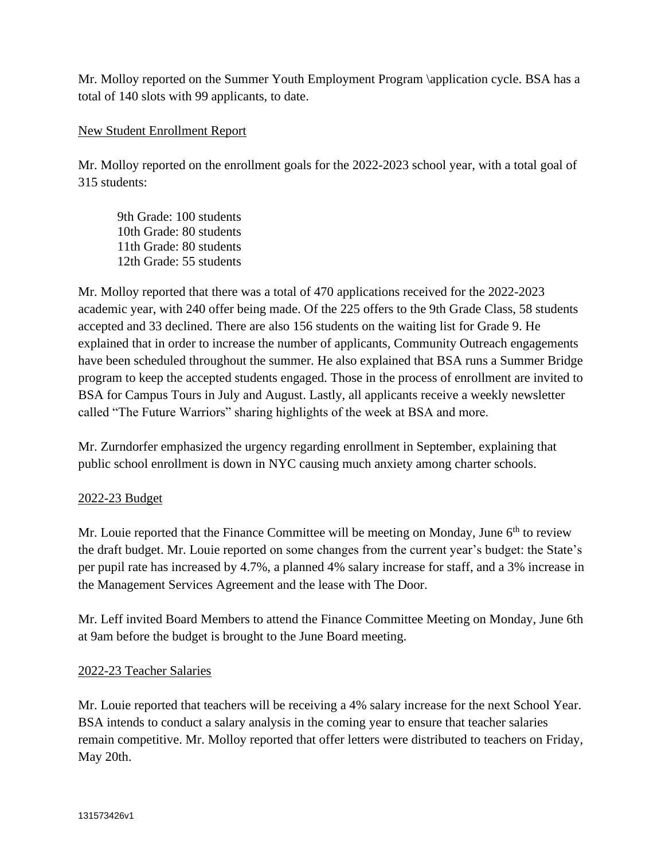Mr. Molloy reported on the Summer Youth Employment Program \application cycle. BSA has a total of 140 slots with 99 applicants, to date.

# New Student Enrollment Report

Mr. Molloy reported on the enrollment goals for the 2022-2023 school year, with a total goal of 315 students:

9th Grade: 100 students 10th Grade: 80 students 11th Grade: 80 students 12th Grade: 55 students

Mr. Molloy reported that there was a total of 470 applications received for the 2022-2023 academic year, with 240 offer being made. Of the 225 offers to the 9th Grade Class, 58 students accepted and 33 declined. There are also 156 students on the waiting list for Grade 9. He explained that in order to increase the number of applicants, Community Outreach engagements have been scheduled throughout the summer. He also explained that BSA runs a Summer Bridge program to keep the accepted students engaged. Those in the process of enrollment are invited to BSA for Campus Tours in July and August. Lastly, all applicants receive a weekly newsletter called "The Future Warriors" sharing highlights of the week at BSA and more.

Mr. Zurndorfer emphasized the urgency regarding enrollment in September, explaining that public school enrollment is down in NYC causing much anxiety among charter schools.

# 2022-23 Budget

Mr. Louie reported that the Finance Committee will be meeting on Monday, June 6<sup>th</sup> to review the draft budget. Mr. Louie reported on some changes from the current year's budget: the State's per pupil rate has increased by 4.7%, a planned 4% salary increase for staff, and a 3% increase in the Management Services Agreement and the lease with The Door.

Mr. Leff invited Board Members to attend the Finance Committee Meeting on Monday, June 6th at 9am before the budget is brought to the June Board meeting.

#### 2022-23 Teacher Salaries

Mr. Louie reported that teachers will be receiving a 4% salary increase for the next School Year. BSA intends to conduct a salary analysis in the coming year to ensure that teacher salaries remain competitive. Mr. Molloy reported that offer letters were distributed to teachers on Friday, May 20th.